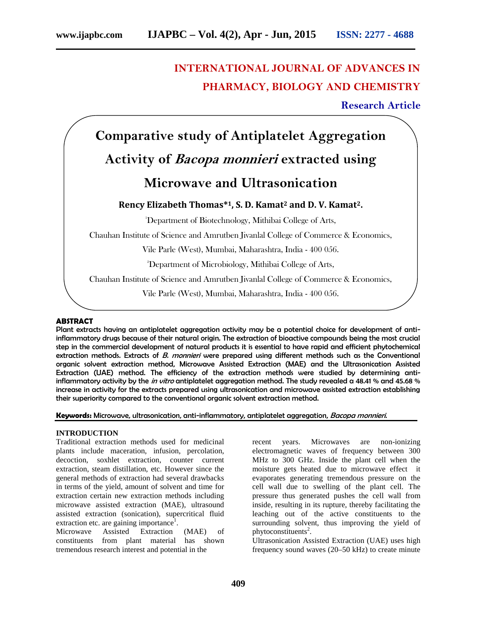## **INTERNATIONAL JOURNAL OF ADVANCES IN PHARMACY, BIOLOGY AND CHEMISTRY**

**Research Article**

# **Comparative study of Antiplatelet Aggregation Activity of** *Bacopa monnieri* **extracted using Microwave and Ultrasonication Rency Elizabeth Thomas\* <sup>1</sup>, S. D. Kamat<sup>2</sup> and D. V. Kamat2.** <sup>1</sup>Department of Biotechnology, Mithibai College of Arts, Chauhan Institute of Science and Amrutben Jivanlal College of Commerce & Economics, Vile Parle (West), Mumbai, Maharashtra, India - 400 056. <sup>2</sup>Department of Microbiology, Mithibai College of Arts, Chauhan Institute of Science and Amrutben Jivanlal College of Commerce & Economics, Vile Parle (West), Mumbai, Maharashtra, India - 400 056.

#### **ABSTRACT**

Plant extracts having an antiplatelet aggregation activity may be a potential choice for development of antiinflammatory drugs because of their natural origin. The extraction of bioactive compounds being the most crucial step in the commercial development of natural products it is essential to have rapid and efficient phytochemical extraction methods. Extracts of *B. monnieri* were prepared using different methods such as the Conventional organic solvent extraction method, Microwave Assisted Extraction (MAE) and the Ultrasonication Assisted Extraction (UAE) method. The efficiency of the extraction methods were studied by determining antiinflammatory activity by the *in vitro* antiplatelet aggregation method. The study revealed a 48.41 % and 45.68 % increase in activity for the extracts prepared using ultrasonication and microwave assisted extraction establishing their superiority compared to the conventional organic solvent extraction method.

**Keywords:** Microwave, ultrasonication, anti-inflammatory, antiplatelet aggregation, *Bacopa monnieri*.

#### **INTRODUCTION**

Traditional extraction methods used for medicinal plants include maceration, infusion, percolation, decoction, soxhlet extraction, counter current extraction, steam distillation, etc. However since the general methods of extraction had several drawbacks in terms of the yield, amount of solvent and time for extraction certain new extraction methods including microwave assisted extraction (MAE), ultrasound assisted extraction (sonication), supercritical fluid extraction etc. are gaining importance<sup>1</sup>.

Microwave Assisted Extraction (MAE) of constituents from plant material has shown tremendous research interest and potential in the

recent years. Microwaves are non-ionizing electromagnetic waves of frequency between 300 MHz to 300 GHz. Inside the plant cell when the moisture gets heated due to microwave effect it evaporates generating tremendous pressure on the cell wall due to swelling of the plant cell. The pressure thus generated pushes the cell wall from inside, resulting in its rupture, thereby facilitating the leaching out of the active constituents to the surrounding solvent, thus improving the yield of phytoconstituents<sup>2</sup>.

Ultrasonication Assisted Extraction (UAE) uses high frequency sound waves (20–50 kHz) to create minute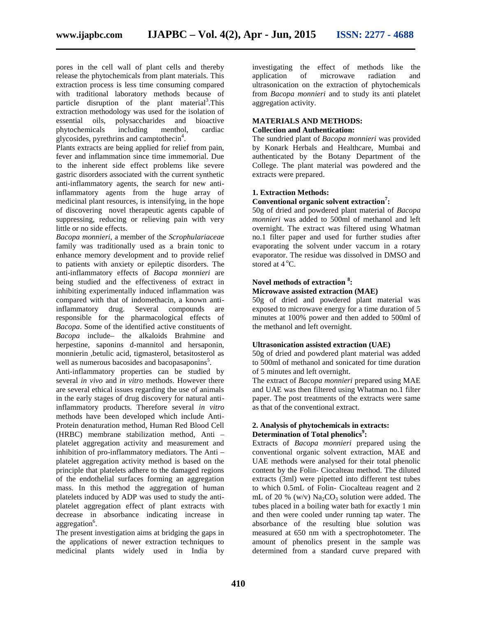pores in the cell wall of plant cells and thereby release the phytochemicals from plant materials. This extraction process is less time consuming compared with traditional laboratory methods because of particle disruption of the plant material<sup>3</sup>. This extraction methodology was used for the isolation of essential oils, polysaccharides and bioactive phytochemicals including menthol, cardiac glycosides, pyrethrins and camptothecin<sup>4</sup>.

Plants extracts are being applied for relief from pain, fever and inflammation since time immemorial. Due to the inherent side effect problems like severe gastric disorders associated with the current synthetic anti-inflammatory agents, the search for new antiinflammatory agents from the huge array of medicinal plant resources, is intensifying, in the hope of discovering novel therapeutic agents capable of suppressing, reducing or relieving pain with very little or no side effects.

*Bacopa monnieri*, a member of the *Scrophulariaceae* family was traditionally used as a brain tonic to enhance memory development and to provide relief to patients with anxiety or epileptic disorders. The anti-inflammatory effects of *Bacopa monnieri* are being studied and the effectiveness of extract in inhibiting experimentally induced inflammation was compared with that of indomethacin, a known antiinflammatory drug. Several compounds are responsible for the pharmacological effects of *Bacopa*. Some of the identified active constituents of *Bacopa* include– the alkaloids Brahmine and herpestine, saponins d-mannitol and hersaponin, monnierin ,betulic acid, tigmasterol, betasitosterol as well as numerous bacosides and bacopasaponins<sup>5</sup>.

Anti-inflammatory properties can be studied by several *in vivo* and *in vitro* methods. However there are several ethical issues regarding the use of animals in the early stages of drug discovery for natural antiinflammatory products. Therefore several *in vitro* methods have been developed which include Anti- Protein denaturation method, Human Red Blood Cell (HRBC) membrane stabilization method, Anti – platelet aggregation activity and measurement and inhibition of pro-inflammatory mediators. The Anti – platelet aggregation activity method is based on the principle that platelets adhere to the damaged regions of the endothelial surfaces forming an aggregation mass. In this method the aggregation of human platelets induced by ADP was used to study the anti platelet aggregation effect of plant extracts with decrease in absorbance indicating increase in aggregation<sup>6</sup>.

The present investigation aims at bridging the gaps in the applications of newer extraction techniques to medicinal plants widely used in India by

investigating the effect of methods like the application of microwave radiation and ultrasonication on the extraction of phytochemicals from *Bacopa monnieri* and to study its anti platelet aggregation activity.

## **MATERIALS AND METHODS:**

### **Collection and Authentication:**

The sundried plant of *Bacopa monnieri* was provided by Konark Herbals and Healthcare, Mumbai and authenticated by the Botany Department of the College. The plant material was powdered and the extracts were prepared.

#### **1. Extraction Methods:**

#### **Conventional organic solvent extraction<sup>7</sup>:**

50g of dried and powdered plant material of *Bacopa monnieri* was added to 500ml of methanol and left overnight. The extract was filtered using Whatman no.1 filter paper and used for further studies after evaporating the solvent under vaccum in a rotary evaporator. The residue was dissolved in DMSO and stored at  $4^{\circ}$ C.

#### **Novel methods of extraction <sup>8</sup>:**

#### **Microwave assisted extraction (MAE)**

50g of dried and powdered plant material was exposed to microwave energy for a time duration of 5 minutes at 100% power and then added to 500ml of the methanol and left overnight.

#### **Ultrasonication assisted extraction (UAE)**

50g of dried and powdered plant material was added to 500ml of methanol and sonicated for time duration of 5 minutes and left overnight.

The extract of *Bacopa monnieri* prepared using MAE and UAE was then filtered using Whatman no.1 filter paper. The post treatments of the extracts were same as that of the conventional extract.

#### **2. Analysis of phytochemicals in extracts: Determination of Total phenolics<sup>9</sup>:**

Extracts of *Bacopa monnieri* prepared using the conventional organic solvent extraction, MAE and UAE methods were analysed for their total phenolic content by the Folin- Ciocalteau method. The diluted extracts (3ml) were pipetted into different test tubes to which 0.5mL of Folin- Ciocalteau reagent and 2 mL of 20 % (w/v)  $\text{Na}_2\text{CO}_3$  solution were added. The tubes placed in a boiling water bath for exactly 1 min and then were cooled under running tap water. The absorbance of the resulting blue solution was measured at 650 nm with a spectrophotometer. The amount of phenolics present in the sample was determined from a standard curve prepared with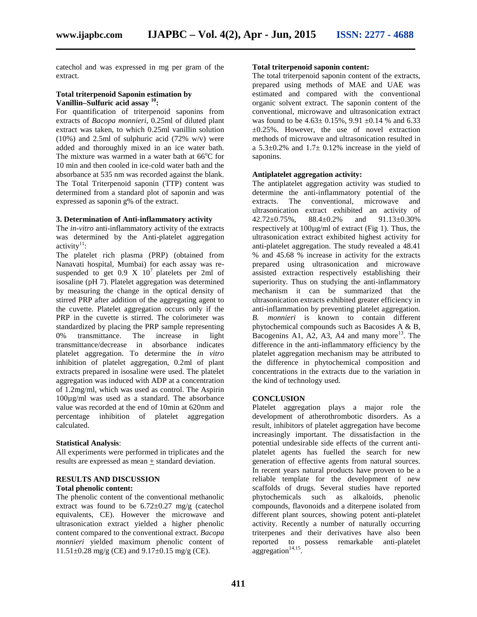catechol and was expressed in mg per gram of the extract.

#### **Total triterpenoid Saponin estimation by Vanillin–Sulfuric acid assay <sup>10</sup>:**

For quantification of triterpenoid saponins from extracts of *Bacopa monnieri,* 0.25ml of diluted plant extract was taken, to which 0.25ml vanillin solution  $(10\%)$  and 2.5ml of sulphuric acid  $(72\% \text{ w/v})$  were added and thoroughly mixed in an ice water bath. The mixture was warmed in a water bath at  $66^{\circ}$ C for 10 min and then cooled in ice-cold water bath and the absorbance at 535 nm was recorded against the blank. The Total Triterpenoid saponin (TTP) content was determined from a standard plot of saponin and was expressed as saponin g% of the extract.

#### **3. Determination of Anti-inflammatory activity**

The *in-vitro* anti-inflammatory activity of the extracts was determined by the Anti-platelet aggregation activity<sup>11</sup>:

The platelet rich plasma (PRP) (obtained from Nanavati hospital, Mumbai) for each assay was re suspended to get  $0.9 \times 10^7$  platelets per 2ml of isosaline (pH 7). Platelet aggregation was determined by measuring the change in the optical density of stirred PRP after addition of the aggregating agent to the cuvette. Platelet aggregation occurs only if the PRP in the cuvette is stirred. The colorimeter was standardized by placing the PRP sample representing 0% transmittance. The increase in light transmittance/decrease in absorbance indicates platelet aggregation. To determine the *in vitro* inhibition of platelet aggregation, 0.2ml of plant extracts prepared in isosaline were used. The platelet aggregation was induced with ADP at a concentration of 1.2mg/ml, which was used as control. The Aspirin 100µg/ml was used as a standard. The absorbance value was recorded at the end of 10min at 620nm and percentage inhibition of platelet aggregation calculated.

#### **Statistical Analysis**:

All experiments were performed in triplicates and the results are expressed as mean + standard deviation.

#### **RESULTS AND DISCUSSION Total phenolic content:**

The phenolic content of the conventional methanolic extract was found to be  $6.72 \pm 0.27$  mg/g (catechol equivalents, CE). However the microwave and ultrasonication extract yielded a higher phenolic content compared to the conventional extract. *Bacopa monnieri* yielded maximum phenolic content of  $11.51\pm0.28$  mg/g (CE) and  $9.17\pm0.15$  mg/g (CE).

#### **Total triterpenoid saponin content:**

The total triterpenoid saponin content of the extracts, prepared using methods of MAE and UAE was estimated and compared with the conventional organic solvent extract. The saponin content of the conventional, microwave and ultrasonication extract was found to be  $4.63 \pm 0.15\%$ ,  $9.91 \pm 0.14\%$  and  $6.33$  $\pm 0.25\%$ . However, the use of novel extraction methods of microwave and ultrasonication resulted in a  $5.3\pm0.2\%$  and  $1.7\pm0.12\%$  increase in the yield of saponins.

#### **Antiplatelet aggregation activity:**

The antiplatelet aggregation activity was studied to determine the anti-inflammatory potential of the extracts. The conventional, microwave and ultrasonication extract exhibited an activity of 42.72±0.75%, 88.4±0.2% and 91.13±0.30% respectively at 100µg/ml of extract (Fig 1). Thus, the ultrasonication extract exhibited highest activity for anti-platelet aggregation. The study revealed a 48.41 % and 45.68 % increase in activity for the extracts prepared using ultrasonication and microwave assisted extraction respectively establishing their superiority. Thus on studying the anti-inflammatory mechanism it can be summarized that the ultrasonication extracts exhibited greater efficiency in anti-inflammation by preventing platelet aggregation. *B. monnieri* is known to contain different phytochemical compounds such as Bacosides A & B, Bacogenins A1, A2, A3, A4 and many more<sup>13</sup>. The difference in the anti-inflammatory efficiency by the platelet aggregation mechanism may be attributed to the difference in phytochemical composition and concentrations in the extracts due to the variation in the kind of technology used.

#### **CONCLUSION**

Platelet aggregation plays a major role the development of atherothrombotic disorders. As a result, inhibitors of platelet aggregation have become increasingly important. The dissatisfaction in the potential undesirable side effects of the current anti platelet agents has fuelled the search for new generation of effective agents from natural sources. In recent years natural products have proven to be a reliable template for the development of new scaffolds of drugs. Several studies have reported phytochemicals such as alkaloids, phenolic phytochemicals such as alkaloids, compounds, flavonoids and a diterpene isolated from different plant sources, showing potent anti-platelet activity. Recently a number of naturally occurring triterpenes and their derivatives have also been reported to possess remarkable anti-platelet  $\arg$ gregation<sup>14,15</sup>.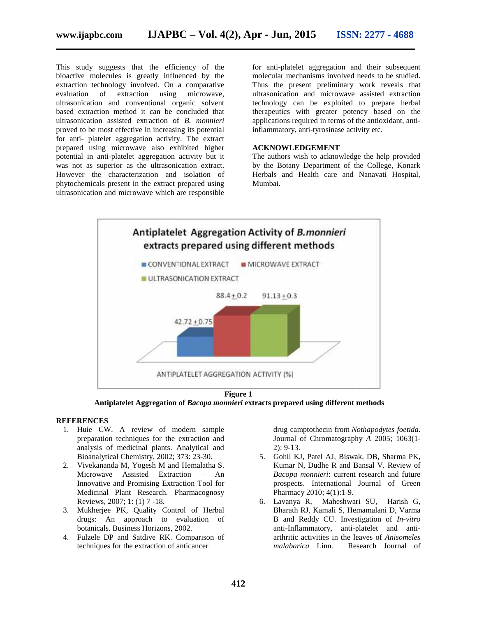This study suggests that the efficiency of the bioactive molecules is greatly influenced by the extraction technology involved. On a comparative evaluation of extraction using microwave, ultrasonication and conventional organic solvent based extraction method it can be concluded that ultrasonication assisted extraction of *B. monnieri* proved to be most effective in increasing its potential for anti- platelet aggregation activity. The extract prepared using microwave also exhibited higher potential in anti-platelet aggregation activity but it was not as superior as the ultrasonication extract. However the characterization and isolation of phytochemicals present in the extract prepared using ultrasonication and microwave which are responsible This study suggests that the efficiency of the<br>bioactive molecules is greatly influenced by the<br>extraction technology involved. On a comparative<br>evaluation of extraction using microwave,<br>ultrasonication and conventional or

for anti-platelet aggregation and their subsequent molecular mechanisms involved needs to be studied. Thus the present preliminary work reveals that ultrasonication and microwave assisted extraction technology can be exploited to prepare herbal therapeutics with greater potency based on the applications required in terms of the antioxidant, antiinflammatory, anti-tyrosinase activity etc. e efficiency of the for anti-platelet aggregation and their subsequent<br>
1. On a comparative molecular mechanisms involved needs to be studied.<br>
1. On a comparative molecular mechanisms involved needs to be studied.<br>
1. On

#### **ACKNOWLEDGEMENT**

The authors wish to acknowledge the help provided by the Botany Department of the College, Konark Herbals and Health care and Nanavati Hospital, Mumbai.



**Figure 1**

**Antiplatelet Aggregation of** *Bacopa monnieri* **extracts prepared using different methods extracts prepared** 

#### **REFERENCES**

- 1. Huie CW. A review of modern sample preparation techniques for the extraction and analysis of medicinal plants. Analytical and Bioanalytical Chemistry, 2002; 373: 23-30. W. A review of modern sample<br>on techniques for the extraction and<br>of medicinal plants. Analytical and
- 2. Vivekananda M, Yogesh M and Hemalatha S. Vivekananda M, Yogesh M and Hemalatha S.<br>Microwave Assisted Extraction – An Innovative and Promising Extraction Tool for Medicinal Plant Research. Pharmacognosy Reviews, 2007; 1: (1) 7 -18.
- 3. Mukherjee PK, Quality Control of Herbal drugs: An approach to evaluation of botanicals. Business Horizons, 2002.
- 4. Fulzele DP and Satdive RK. Comparison of techniques for the extraction of anticancer

drug camptothecin from *Nothapodytes foetida.* Journal of Chromatography *A* 2005; 1063(1- 2): 9-13.

- 5. Gohil KJ, Patel AJ, Biswak, DB, Sharma PK, Kumar N, Dudhe R and Bansal V. Review of *Bacopa monnieri*: current research and future prospects. International Journal of Green Pharmacy 2010; 4(1):1-9.
- 6. Lavanya R, Maheshwari SU, Harish G, Bharath RJ, Kamali S, Hemamalani D, Varma B and Reddy CU. Investigation of *In-vitro* anti-Inflammatory, anti-platelet and anti arthritic activities in the leaves of *Anisomeles malabarica* Linn. Research Journal of Huie CW. A review of modern sample<br>
preparation techniques for the extraction and<br>
analysis of medicinal plants. Analytical Chemistry, 2002; 373: 23-30.<br>
Bioanalytical Chemistry, 2002; 373: 23-30.<br>
S. Gohil KJ, Patel AJ, B